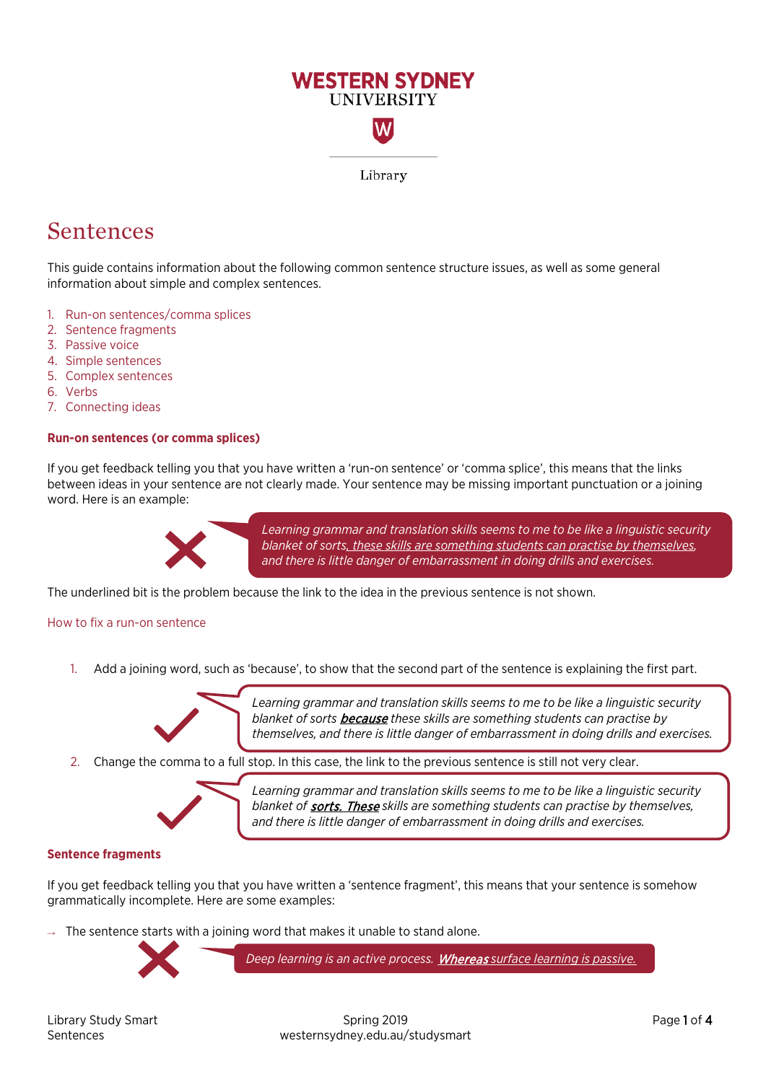

# Sentences

This guide contains information about the following common sentence structure issues, as well as some general information about simple and complex sentences.

- 1. [Run-on sentences/comma splices](#page-0-0)
- 2. [Sentence fragments](#page-0-1)
- 3. [Passive voice](#page-1-0)
- 4. [Simple sentences](#page-2-0)
- 5. [Complex sentences](#page-3-0)
- 6. [Verbs](#page-3-1)
- 7. [Connecting ideas](#page-3-2)

# <span id="page-0-0"></span>**Run-on sentences (or comma splices)**

If you get feedback telling you that you have written a 'run-on sentence' or 'comma splice', this means that the links between ideas in your sentence are not clearly made. Your sentence may be missing important punctuation or a joining word. Here is an example:



*Learning grammar and translation skills seems to me to be like a linguistic security blanket of sorts, these skills are something students can practise by themselves, and there is little danger of embarrassment in doing drills and exercises.*

The underlined bit is the problem because the link to the idea in the previous sentence is not shown.

#### How to fix a run-on sentence

1. Add a joining word, such as 'because', to show that the second part of the sentence is explaining the first part.



*Learning grammar and translation skills seems to me to be like a linguistic security blanket of sorts* because *these skills are something students can practise by themselves, and there is little danger of embarrassment in doing drills and exercises.*

2. Change the comma to a full stop. In this case, the link to the previous sentence is still not very clear.



*Learning grammar and translation skills seems to me to be like a linguistic security blanket of* sorts. These *skills are something students can practise by themselves, and there is little danger of embarrassment in doing drills and exercises.*

#### <span id="page-0-1"></span>**Sentence fragments**

If you get feedback telling you that you have written a 'sentence fragment', this means that your sentence is somehow grammatically incomplete. Here are some examples:

 $\rightarrow$  The sentence starts with a joining word that makes it unable to stand alone.



*Deep learning is an active process.* Whereas *surface learning is passive.*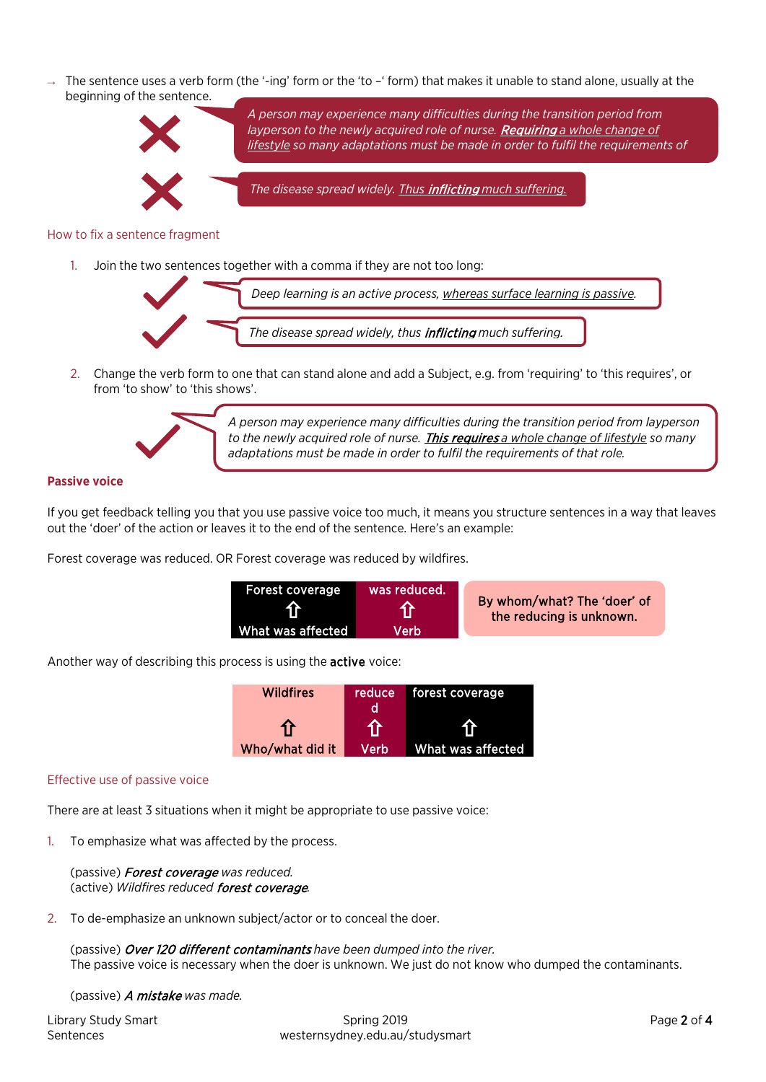$\rightarrow$  The sentence uses a verb form (the '-ing' form or the 'to -' form) that makes it unable to stand alone, usually at the beginning of the sentence.



# How to fix a sentence fragment

1. Join the two sentences together with a comma if they are not too long:



2. Change the verb form to one that can stand alone and add a Subject, e.g. from 'requiring' to 'this requires', or from 'to show' to 'this shows'.



*A person may experience many difficulties during the transition period from layperson to the newly acquired role of nurse.* This requires *a whole change of lifestyle so many adaptations must be made in order to fulfil the requirements of that role.*

# <span id="page-1-0"></span>**Passive voice**

If you get feedback telling you that you use passive voice too much, it means you structure sentences in a way that leaves out the 'doer' of the action or leaves it to the end of the sentence. Here's an example:

Forest coverage was reduced. OR Forest coverage was reduced by wildfires.

| Forest coverage<br>介 | was reduced. | By whom/what? The 'doer' of<br>the reducing is unknown. |
|----------------------|--------------|---------------------------------------------------------|
| What was affected    | Verb'        |                                                         |

Another way of describing this process is using the active voice:

| <b>Wildfires</b> | reduce | forest coverage   |  |  |  |
|------------------|--------|-------------------|--|--|--|
|                  |        |                   |  |  |  |
| 1F               |        |                   |  |  |  |
| Who/what did it  | Verb   | What was affected |  |  |  |

#### Effective use of passive voice

There are at least 3 situations when it might be appropriate to use passive voice:

1. To emphasize what was affected by the process.

(passive) Forest coverage *was reduced.* (active) *Wildfires reduced* forest coverage*.*

2. To de-emphasize an unknown subject/actor or to conceal the doer.

(passive) Over 120 different contaminants *have been dumped into the river.* The passive voice is necessary when the doer is unknown. We just do not know who dumped the contaminants.

(passive) A mistake *was made.*

| <b>Library Study Smart</b> |
|----------------------------|
| Sentences                  |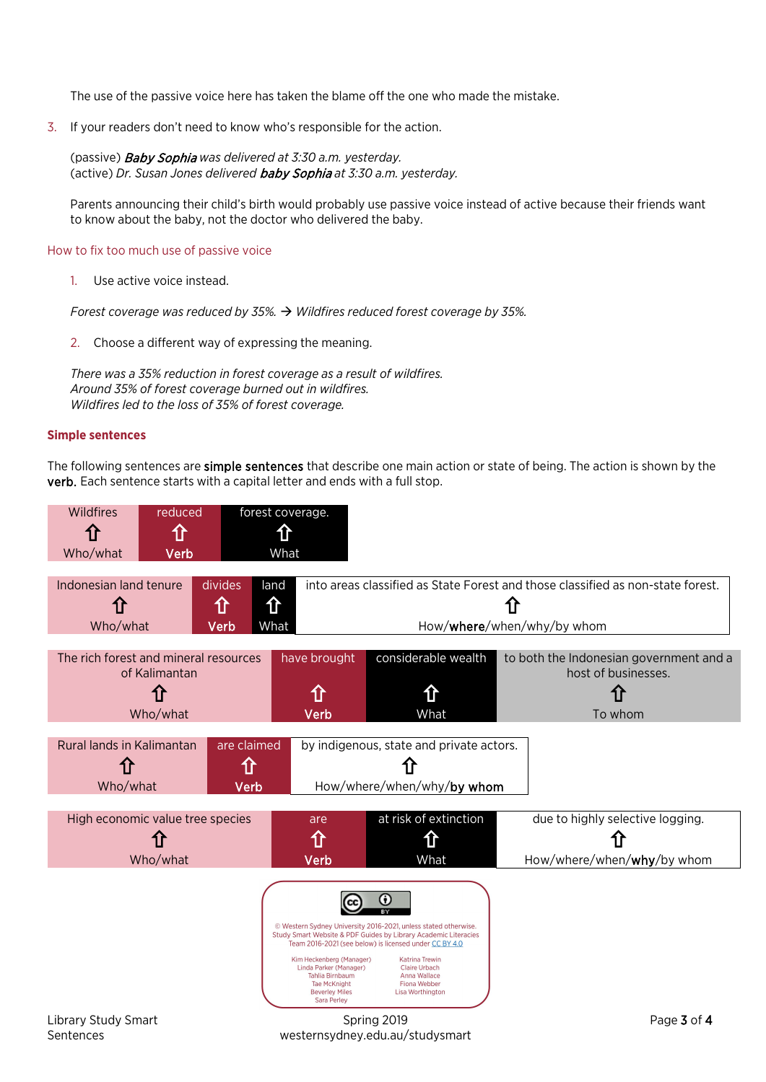The use of the passive voice here has taken the blame off the one who made the mistake.

3. If your readers don't need to know who's responsible for the action.

(passive) Baby Sophia *was delivered at 3:30 a.m. yesterday.* (active) *Dr. Susan Jones delivered* baby Sophia *at 3:30 a.m. yesterday.*

Parents announcing their child's birth would probably use passive voice instead of active because their friends want to know about the baby, not the doctor who delivered the baby.

#### How to fix too much use of passive voice

1. Use active voice instead.

*Forest coverage was reduced by 35%. Wildfires reduced forest coverage by 35%.*

2. Choose a different way of expressing the meaning.

*There was a 35% reduction in forest coverage as a result of wildfires. Around 35% of forest coverage burned out in wildfires. Wildfires led to the loss of 35% of forest coverage.*

# <span id="page-2-0"></span>**Simple sentences**

The following sentences are simple sentences that describe one main action or state of being. The action is shown by the verb. Each sentence starts with a capital letter and ends with a full stop.